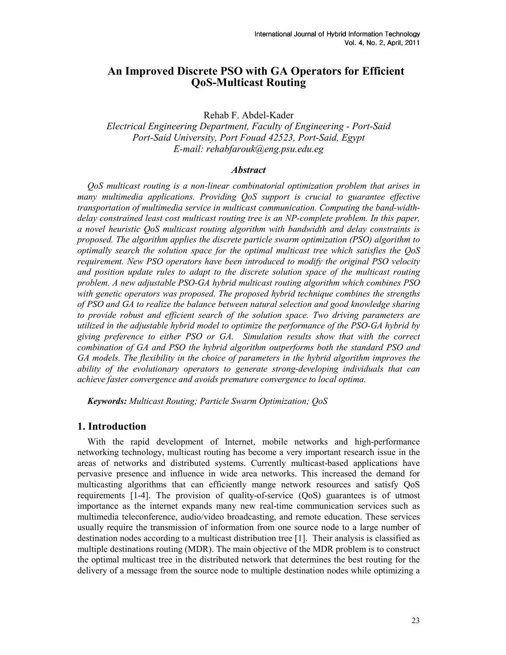# An Improved Discrete PSO with GA Operators for Efficient QoS-Multicast Routing

Rehab F. Abdel-Kader

Electrical Engineering Department, Faculty of Engineering - Port-Said Port-Said University, Port Fouad 42523, Port-Said, Egypt E-mail: rehabfarouk@eng.psu.edu.eg

#### **Abstract**

QoS multicast routing is a non-linear combinatorial optimization problem that arises in many multimedia applications. Providing QoS support is crucial to guarantee effective transportation of multimedia service in multicast communication. Computing the band-widthdelay constrained least cost multicast routing tree is an NP-complete problem. In this paper, a novel heuristic QoS multicast routing algorithm with bandwidth and delay constraints is proposed. The algorithm applies the discrete particle swarm optimization (PSO) algorithm to optimally search the solution space for the optimal multicast tree which satisfies the QoS requirement. New PSO operators have been introduced to modify the original PSO velocity and position update rules to adapt to the discrete solution space of the multicast routing problem. A new adjustable PSO-GA hybrid multicast routing algorithm which combines PSO with genetic operators was proposed. The proposed hybrid technique combines the strengths of PSO and GA to realize the balance between natural selection and good knowledge sharing to provide robust and efficient search of the solution space. Two driving parameters are utilized in the adjustable hybrid model to optimize the performance of the PSO-GA hybrid by giving preference to either PSO or GA. Simulation results show that with the correct combination of GA and PSO the hybrid algorithm outperforms both the standard PSO and GA models. The flexibility in the choice of parameters in the hybrid algorithm improves the ability of the evolutionary operators to generate strong-developing individuals that can achieve faster convergence and avoids premature convergence to local optima.

Keywords: Multicast Routing; Particle Swarm Optimization; QoS

### 1. Introduction

With the rapid development of Internet, mobile networks and high-performance networking technology, multicast routing has become a very important research issue in the areas of networks and distributed systems. Currently multicast-based applications have pervasive presence and influence in wide area networks. This increased the demand for multicasting algorithms that can efficiently mange network resources and satisfy QoS requirements [1-4]. The provision of quality-of-service (QoS) guarantees is of utmost importance as the internet expands many new real-time communication services such as multimedia teleconference, audio/video broadcasting, and remote education. These services usually require the transmission of information from one source node to a large number of destination nodes according to a multicast distribution tree [1]. Their analysis is classified as multiple destinations routing (MDR). The main objective of the MDR problem is to construct the optimal multicast tree in the distributed network that determines the best routing for the delivery of a message from the source node to multiple destination nodes while optimizing a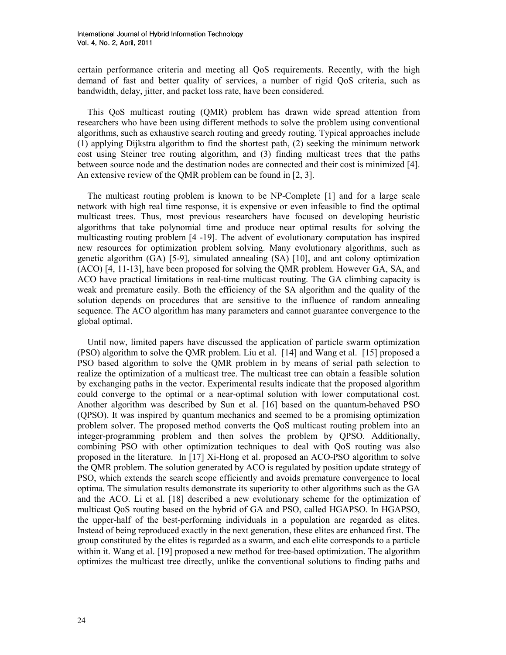certain performance criteria and meeting all QoS requirements. Recently, with the high demand of fast and better quality of services, a number of rigid QoS criteria, such as bandwidth, delay, jitter, and packet loss rate, have been considered.

This QoS multicast routing (QMR) problem has drawn wide spread attention from researchers who have been using different methods to solve the problem using conventional algorithms, such as exhaustive search routing and greedy routing. Typical approaches include (1) applying Dijkstra algorithm to find the shortest path, (2) seeking the minimum network cost using Steiner tree routing algorithm, and (3) finding multicast trees that the paths between source node and the destination nodes are connected and their cost is minimized [4]. An extensive review of the QMR problem can be found in [2, 3].

The multicast routing problem is known to be NP-Complete [1] and for a large scale network with high real time response, it is expensive or even infeasible to find the optimal multicast trees. Thus, most previous researchers have focused on developing heuristic algorithms that take polynomial time and produce near optimal results for solving the multicasting routing problem [4 -19]. The advent of evolutionary computation has inspired new resources for optimization problem solving. Many evolutionary algorithms, such as genetic algorithm (GA) [5-9], simulated annealing (SA) [10], and ant colony optimization (ACO) [4, 11-13], have been proposed for solving the QMR problem. However GA, SA, and ACO have practical limitations in real-time multicast routing. The GA climbing capacity is weak and premature easily. Both the efficiency of the SA algorithm and the quality of the solution depends on procedures that are sensitive to the influence of random annealing sequence. The ACO algorithm has many parameters and cannot guarantee convergence to the global optimal.

Until now, limited papers have discussed the application of particle swarm optimization (PSO) algorithm to solve the QMR problem. Liu et al. [14] and Wang et al. [15] proposed a PSO based algorithm to solve the QMR problem in by means of serial path selection to realize the optimization of a multicast tree. The multicast tree can obtain a feasible solution by exchanging paths in the vector. Experimental results indicate that the proposed algorithm could converge to the optimal or a near-optimal solution with lower computational cost. Another algorithm was described by Sun et al. [16] based on the quantum-behaved PSO (QPSO). It was inspired by quantum mechanics and seemed to be a promising optimization problem solver. The proposed method converts the QoS multicast routing problem into an integer-programming problem and then solves the problem by QPSO. Additionally, combining PSO with other optimization techniques to deal with QoS routing was also proposed in the literature. In [17] Xi-Hong et al. proposed an ACO-PSO algorithm to solve the QMR problem. The solution generated by ACO is regulated by position update strategy of PSO, which extends the search scope efficiently and avoids premature convergence to local optima. The simulation results demonstrate its superiority to other algorithms such as the GA and the ACO. Li et al. [18] described a new evolutionary scheme for the optimization of multicast QoS routing based on the hybrid of GA and PSO, called HGAPSO. In HGAPSO, the upper-half of the best-performing individuals in a population are regarded as elites. Instead of being reproduced exactly in the next generation, these elites are enhanced first. The group constituted by the elites is regarded as a swarm, and each elite corresponds to a particle within it. Wang et al. [19] proposed a new method for tree-based optimization. The algorithm optimizes the multicast tree directly, unlike the conventional solutions to finding paths and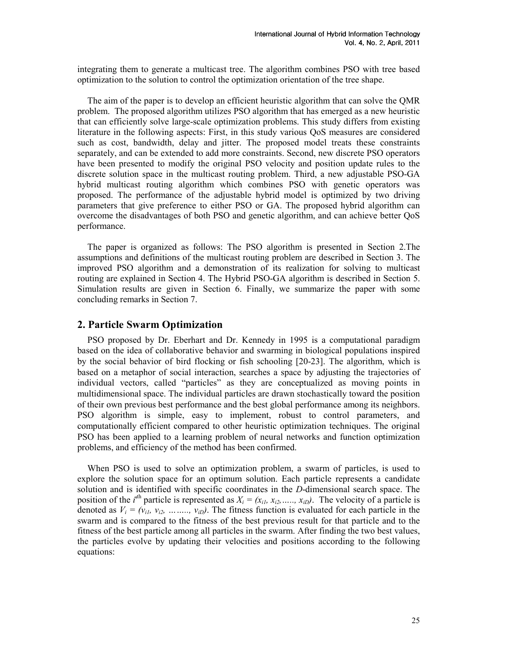integrating them to generate a multicast tree. The algorithm combines PSO with tree based optimization to the solution to control the optimization orientation of the tree shape.

The aim of the paper is to develop an efficient heuristic algorithm that can solve the QMR problem. The proposed algorithm utilizes PSO algorithm that has emerged as a new heuristic that can efficiently solve large-scale optimization problems. This study differs from existing literature in the following aspects: First, in this study various QoS measures are considered such as cost, bandwidth, delay and jitter. The proposed model treats these constraints separately, and can be extended to add more constraints. Second, new discrete PSO operators have been presented to modify the original PSO velocity and position update rules to the discrete solution space in the multicast routing problem. Third, a new adjustable PSO-GA hybrid multicast routing algorithm which combines PSO with genetic operators was proposed. The performance of the adjustable hybrid model is optimized by two driving parameters that give preference to either PSO or GA. The proposed hybrid algorithm can overcome the disadvantages of both PSO and genetic algorithm, and can achieve better QoS performance.

The paper is organized as follows: The PSO algorithm is presented in Section 2.The assumptions and definitions of the multicast routing problem are described in Section 3. The improved PSO algorithm and a demonstration of its realization for solving to multicast routing are explained in Section 4. The Hybrid PSO-GA algorithm is described in Section 5. Simulation results are given in Section 6. Finally, we summarize the paper with some concluding remarks in Section 7.

# 2. Particle Swarm Optimization

PSO proposed by Dr. Eberhart and Dr. Kennedy in 1995 is a computational paradigm based on the idea of collaborative behavior and swarming in biological populations inspired by the social behavior of bird flocking or fish schooling [20-23]. The algorithm, which is based on a metaphor of social interaction, searches a space by adjusting the trajectories of individual vectors, called "particles" as they are conceptualized as moving points in multidimensional space. The individual particles are drawn stochastically toward the position of their own previous best performance and the best global performance among its neighbors. PSO algorithm is simple, easy to implement, robust to control parameters, and computationally efficient compared to other heuristic optimization techniques. The original PSO has been applied to a learning problem of neural networks and function optimization problems, and efficiency of the method has been confirmed.

When PSO is used to solve an optimization problem, a swarm of particles, is used to explore the solution space for an optimum solution. Each particle represents a candidate solution and is identified with specific coordinates in the D-dimensional search space. The position of the *i*<sup>th</sup> particle is represented as  $X_i = (x_{i1}, x_{i2}, \ldots, x_{iD})$ . The velocity of a particle is denoted as  $V_i = (v_{i1}, v_{i2}, \dots, v_{iD})$ . The fitness function is evaluated for each particle in the swarm and is compared to the fitness of the best previous result for that particle and to the fitness of the best particle among all particles in the swarm. After finding the two best values, the particles evolve by updating their velocities and positions according to the following equations: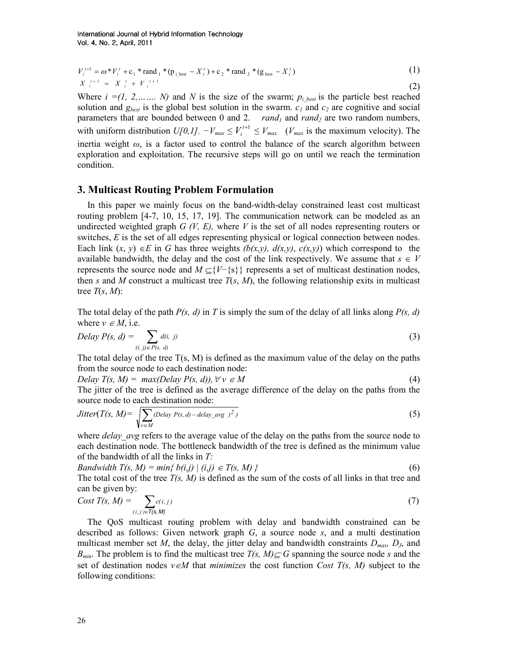$$
V_i^{t+1} = \omega^* V_i^t + c_1^* \text{rand}_1^t (p_{i\text{best}} - X_i^t) + c_2^* \text{rand}_2^t (g_{\text{best}} - X_i^t)
$$
  
\n
$$
X_i^{t+1} = X_i^t + V_i^{t+1}
$$
\n(1)

Where  $i = (1, 2, \ldots, N)$  and N is the size of the swarm;  $p_i$  best is the particle best reached solution and  $g_{best}$  is the global best solution in the swarm.  $c_1$  and  $c_2$  are cognitive and social parameters that are bounded between 0 and 2.  $rand_1$  and  $rand_2$  are two random numbers, with uniform distribution  $U[0,1]$ .  $-V_{max} \leq V_i^{t+1} \leq V_{max}$  ( $V_{max}$  is the maximum velocity). The inertia weight  $\omega$ , is a factor used to control the balance of the search algorithm between exploration and exploitation. The recursive steps will go on until we reach the termination condition.

# 3. Multicast Routing Problem Formulation

In this paper we mainly focus on the band-width-delay constrained least cost multicast routing problem [4-7, 10, 15, 17, 19]. The communication network can be modeled as an undirected weighted graph  $G$  (V, E), where V is the set of all nodes representing routers or switches,  $E$  is the set of all edges representing physical or logical connection between nodes. Each link  $(x, y) \in E$  in G has three weights  $(b(x, y), d(x, y), c(x, y))$  which correspond to the available bandwidth, the delay and the cost of the link respectively. We assume that  $s \in V$ represents the source node and  $M \subseteq \{V-\{s\}\}\$  represents a set of multicast destination nodes, then s and M construct a multicast tree  $T(s, M)$ , the following relationship exits in multicast tree  $T(s, M)$ :

The total delay of the path  $P(s, d)$  in T is simply the sum of the delay of all links along  $P(s, d)$ where  $v \in M$ , i.e.

$$
Delay P(s, d) = \sum_{(i, j) \in P(s, d)} d(i, j)
$$
 (3)

The total delay of the tree  $T(s, M)$  is defined as the maximum value of the delay on the paths from the source node to each destination node:

$$
Delay T(s, M) = max(Delay P(s, d)), \forall v \in M
$$
\n(4)

The jitter of the tree is defined as the average difference of the delay on the paths from the source node to each destination node:

$$
Jitter(T(s, M)) = \sqrt{\sum_{v \in M} (Delay \ P(s, d) - delay\_{avg})^2}
$$
 (5)

where *delay* avg refers to the average value of the delay on the paths from the source node to each destination node. The bottleneck bandwidth of the tree is defined as the minimum value of the bandwidth of all the links in  $T$ :

$$
Bandwidth T(s, M) = min\{b(i,j) \mid (i,j) \in T(s, M)\}
$$
\n
$$
(6)
$$

The total cost of the tree  $T(s, M)$  is defined as the sum of the costs of all links in that tree and can be given by:

$$
Cost T(s, M) = \sum_{(i,j) \in T(s, M)} c(i,j)
$$
 (7)

The QoS multicast routing problem with delay and bandwidth constrained can be described as follows: Given network graph  $G$ , a source node  $s$ , and a multi destination multicast member set M, the delay, the jitter delay and bandwidth constraints  $D_{max}$ ,  $D_J$ , and  $B_{min}$ . The problem is to find the multicast tree  $T(s, M) \subseteq G$  spanning the source node s and the set of destination nodes  $v \in M$  that *minimizes* the cost function Cost T(s, M) subject to the following conditions: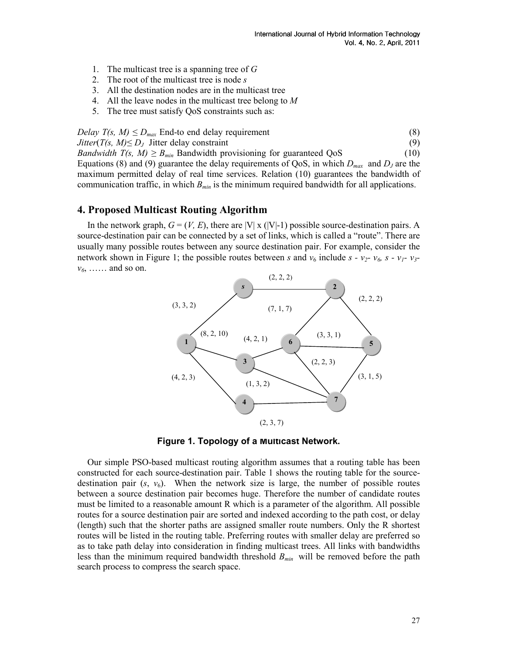- 1. The multicast tree is a spanning tree of G
- 2. The root of the multicast tree is node s
- 3. All the destination nodes are in the multicast tree
- 4. All the leave nodes in the multicast tree belong to M
- 5. The tree must satisfy QoS constraints such as:

Delay  $T(s, M) \le D_{max}$  End-to end delay requirement (8)  $Jitter(T(s, M) \leq D_J$  Jitter delay constraint (9) *Bandwidth*  $T(s, M) \ge B_{min}$  Bandwidth provisioning for guaranteed QoS (10) Equations (8) and (9) guarantee the delay requirements of QoS, in which  $D_{max}$  and  $D_J$  are the maximum permitted delay of real time services. Relation (10) guarantees the bandwidth of communication traffic, in which  $B_{min}$  is the minimum required bandwidth for all applications.

# 4. Proposed Multicast Routing Algorithm

In the network graph,  $G = (V, E)$ , there are  $|V| \times (|V|-1)$  possible source-destination pairs. A source-destination pair can be connected by a set of links, which is called a "route". There are usually many possible routes between any source destination pair. For example, consider the network shown in Figure 1; the possible routes between s and  $v_6$  include s -  $v_2$ -  $v_6$ , s -  $v_1$ -  $v_3$  $v_6, \ldots$  and so on.



Figure 1. Topology of a Multicast Network.

Our simple PSO-based multicast routing algorithm assumes that a routing table has been constructed for each source-destination pair. Table 1 shows the routing table for the sourcedestination pair  $(s, v_6)$ . When the network size is large, the number of possible routes between a source destination pair becomes huge. Therefore the number of candidate routes must be limited to a reasonable amount R which is a parameter of the algorithm. All possible routes for a source destination pair are sorted and indexed according to the path cost, or delay (length) such that the shorter paths are assigned smaller route numbers. Only the R shortest routes will be listed in the routing table. Preferring routes with smaller delay are preferred so as to take path delay into consideration in finding multicast trees. All links with bandwidths less than the minimum required bandwidth threshold  $B_{min}$  will be removed before the path search process to compress the search space.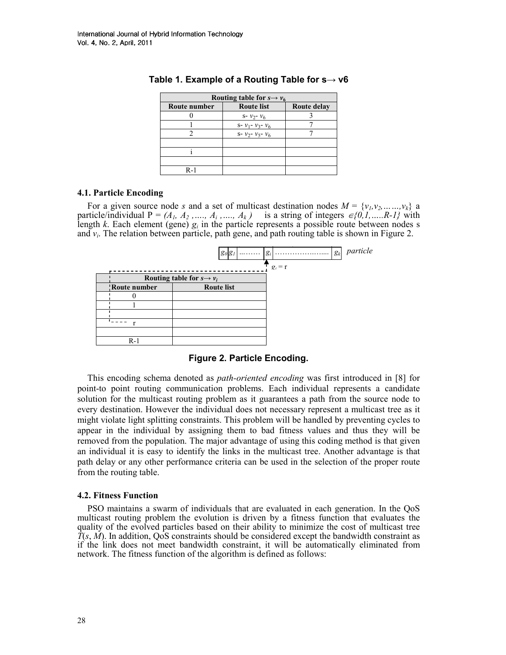| Routing table for $s \rightarrow \nu_6$ |                       |             |  |  |  |  |  |
|-----------------------------------------|-----------------------|-------------|--|--|--|--|--|
| Route number                            | <b>Route list</b>     | Route delay |  |  |  |  |  |
|                                         | $S - V_2 - V_6$       |             |  |  |  |  |  |
|                                         | $S - V_1 - V_3 - V_6$ |             |  |  |  |  |  |
|                                         | $S - V_2 - V_5 - V_6$ |             |  |  |  |  |  |
|                                         |                       |             |  |  |  |  |  |
|                                         |                       |             |  |  |  |  |  |
|                                         |                       |             |  |  |  |  |  |
| R _ 1                                   |                       |             |  |  |  |  |  |

### 4.1. Particle Encoding

For a given source node s and a set of multicast destination nodes  $M = \{v_1, v_2, \ldots, v_k\}$  a particle/individual  $P = (A_1, A_2, \dots, A_i, \dots, A_k)$  is a string of integers  $\in \{0, 1, \dots, R-1\}$  with length k. Each element (gene)  $g_i$  in the particle represents a possible route between nodes s and  $v_i$ . The relation between particle, path gene, and path routing table is shown in Figure 2.



Figure 2. Particle Encoding.

This encoding schema denoted as *path-oriented encoding* was first introduced in [8] for point-to point routing communication problems. Each individual represents a candidate solution for the multicast routing problem as it guarantees a path from the source node to every destination. However the individual does not necessary represent a multicast tree as it might violate light splitting constraints. This problem will be handled by preventing cycles to appear in the individual by assigning them to bad fitness values and thus they will be removed from the population. The major advantage of using this coding method is that given an individual it is easy to identify the links in the multicast tree. Another advantage is that path delay or any other performance criteria can be used in the selection of the proper route from the routing table.

#### 4.2. Fitness Function

PSO maintains a swarm of individuals that are evaluated in each generation. In the QoS multicast routing problem the evolution is driven by a fitness function that evaluates the quality of the evolved particles based on their ability to minimize the cost of multicast tree  $\hat{T}(s, \hat{M})$ . In addition, QoS constraints should be considered except the bandwidth constraint as if the link does not meet bandwidth constraint, it will be automatically eliminated from network. The fitness function of the algorithm is defined as follows: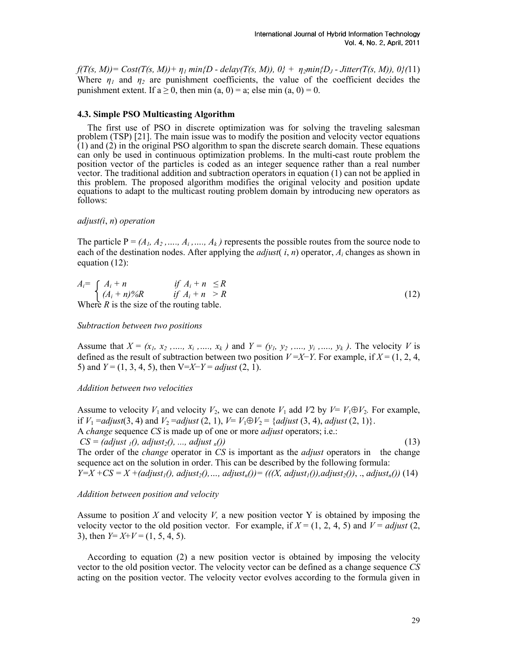$f(T(s, M)) = Cost(T(s, M)) + \eta_1 min\{D - delay(T(s, M)), 0\} + \eta_2 min\{D_J - Jitter(T(s, M)), 0\}(11)$ Where  $\eta_1$  and  $\eta_2$  are punishment coefficients, the value of the coefficient decides the punishment extent. If  $a \ge 0$ , then min  $(a, 0) = a$ ; else min  $(a, 0) = 0$ .

#### 4.3. Simple PSO Multicasting Algorithm

The first use of PSO in discrete optimization was for solving the traveling salesman problem (TSP) [21]. The main issue was to modify the position and velocity vector equations  $(1)$  and  $(2)$  in the original PSO algorithm to span the discrete search domain. These equations can only be used in continuous optimization problems. In the multi-cast route problem the position vector of the particles is coded as an integer sequence rather than a real number vector. The traditional addition and subtraction operators in equation (1) can not be applied in this problem. The proposed algorithm modifies the original velocity and position update equations to adapt to the multicast routing problem domain by introducing new operators as follows:

#### $adjust(i, n)$  operation

The particle  $P = (A_1, A_2, \dots, A_i, \dots, A_k)$  represents the possible routes from the source node to each of the destination nodes. After applying the *adjust*( $i, n$ ) operator,  $A_i$  changes as shown in equation (12):

| $A_i = \int A_i + n$                                  | if $A_i + n \leq R$ |  |      |
|-------------------------------------------------------|---------------------|--|------|
| $\int (A_i + n)\% R$                                  | if $A_i + n \ge R$  |  | (12) |
| Where $\overline{p}$ is the size of the routing table |                     |  |      |

Where  *is the size of the routing table.* 

#### Subtraction between two positions

Assume that  $X = (x_1, x_2, \ldots, x_i, \ldots, x_k)$  and  $Y = (y_1, y_2, \ldots, y_i, \ldots, y_k)$ . The velocity V is defined as the result of subtraction between two position  $V = X-Y$ . For example, if  $X = (1, 2, 4, ...)$ 5) and  $Y = (1, 3, 4, 5)$ , then  $V = X - Y = \text{adjust}(2, 1)$ .

Addition between two velocities

Assume to velocity  $V_1$  and velocity  $V_2$ , we can denote  $V_1$  add  $V_2$  by  $V=V_1\oplus V_2$ . For example, if  $V_1 = \text{adjust}(3, 4)$  and  $V_2 = \text{adjust}(2, 1)$ ,  $V = V_1 \oplus V_2 = \text{adjust}(3, 4)$ , adjust  $(2, 1)$ . A *change* sequence CS is made up of one or more *adjust* operators; i.e.:  $CS = (adjust \, i), \, adjust_2(), \, ..., \, adjust_n(i)$  (13)

The order of the *change* operator in CS is important as the *adjust* operators in the change sequence act on the solution in order. This can be described by the following formula:  $Y=X+CS = X + (adjust<sub>1</sub>), adjust<sub>2</sub>), ..., adjust<sub>n</sub>() = (((X, adjust<sub>1</sub>)), adjust<sub>2</sub>)), ..., adjust<sub>n</sub>() (14)$ 

#### Addition between position and velocity

Assume to position X and velocity V, a new position vector Y is obtained by imposing the velocity vector to the old position vector. For example, if  $X = (1, 2, 4, 5)$  and  $V = \text{adjust} (2, 1, 2, 4)$ 3), then  $Y = X+V = (1, 5, 4, 5)$ .

According to equation (2) a new position vector is obtained by imposing the velocity vector to the old position vector. The velocity vector can be defined as a change sequence CS acting on the position vector. The velocity vector evolves according to the formula given in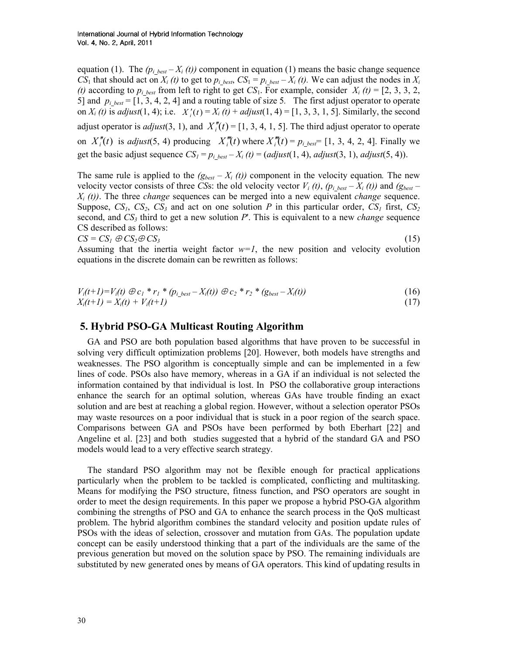equation (1). The  $(p_{i\_best} - X_i(t))$  component in equation (1) means the basic change sequence  $CS_1$  that should act on  $X_i$  (t) to get to  $p_{i\_best}$ ,  $CS_1 = p_{i\_best} - X_i$  (t). We can adjust the nodes in  $X_i$ (t) according to  $p_{i\_best}$  from left to right to get CS<sub>1</sub>. For example, consider  $X_i(t) = [2, 3, 3, 2, 4]$ 5] and  $p_{i\_best} = [1, 3, 4, 2, 4]$  and a routing table of size 5. The first adjust operator to operate on  $X_i(t)$  is adjust(1, 4); i.e.  $X'_i(t) = X_i(t) + \text{adjust}(1, 4) = [1, 3, 3, 1, 5]$ . Similarly, the second adjust operator is *adjust*(3, 1), and  $X''_i(t) = [1, 3, 4, 1, 5]$ . The third adjust operator to operate on  $X''_i(t)$  is *adjust*(5, 4) producing  $X''_i(t)$  where  $X''_i(t) = p_{i\_best}$  [1, 3, 4, 2, 4]. Finally we get the basic adjust sequence  $CS_I = p_{i\_best} - X_i$  (t) = (adjust(1, 4), adjust(3, 1), adjust(5, 4)).

The same rule is applied to the  $(g_{best} - X_i(t))$  component in the velocity equation. The new velocity vector consists of three CSs: the old velocity vector  $V_i(t)$ ,  $(p_{i\_best} - X_i(t))$  and  $(g_{best} X_i(t)$ ). The three *change* sequences can be merged into a new equivalent *change* sequence. Suppose,  $CS_1$ ,  $CS_2$ ,  $CS_3$  and act on one solution P in this particular order,  $CS_1$  first,  $CS_2$ second, and  $CS_3$  third to get a new solution  $P'$ . This is equivalent to a new *change* sequence CS described as follows:

$$
CS = CS_1 \oplus CS_2 \oplus CS_3 \tag{15}
$$

Assuming that the inertia weight factor  $w=1$ , the new position and velocity evolution equations in the discrete domain can be rewritten as follows:

$$
V_i(t+1) = V_i(t) \oplus c_1 * r_1 * (p_{i\_best} - X_i(t)) \oplus c_2 * r_2 * (g_{best} - X_i(t))
$$
  
\n
$$
X_i(t+1) = X_i(t) + V_i(t+1)
$$
\n(17)

# 5. Hybrid PSO-GA Multicast Routing Algorithm

GA and PSO are both population based algorithms that have proven to be successful in solving very difficult optimization problems [20]. However, both models have strengths and weaknesses. The PSO algorithm is conceptually simple and can be implemented in a few lines of code. PSOs also have memory, whereas in a GA if an individual is not selected the information contained by that individual is lost. In PSO the collaborative group interactions enhance the search for an optimal solution, whereas GAs have trouble finding an exact solution and are best at reaching a global region. However, without a selection operator PSOs may waste resources on a poor individual that is stuck in a poor region of the search space. Comparisons between GA and PSOs have been performed by both Eberhart [22] and Angeline et al. [23] and both studies suggested that a hybrid of the standard GA and PSO models would lead to a very effective search strategy.

The standard PSO algorithm may not be flexible enough for practical applications particularly when the problem to be tackled is complicated, conflicting and multitasking. Means for modifying the PSO structure, fitness function, and PSO operators are sought in order to meet the design requirements. In this paper we propose a hybrid PSO-GA algorithm combining the strengths of PSO and GA to enhance the search process in the QoS multicast problem. The hybrid algorithm combines the standard velocity and position update rules of PSOs with the ideas of selection, crossover and mutation from GAs. The population update concept can be easily understood thinking that a part of the individuals are the same of the previous generation but moved on the solution space by PSO. The remaining individuals are substituted by new generated ones by means of GA operators. This kind of updating results in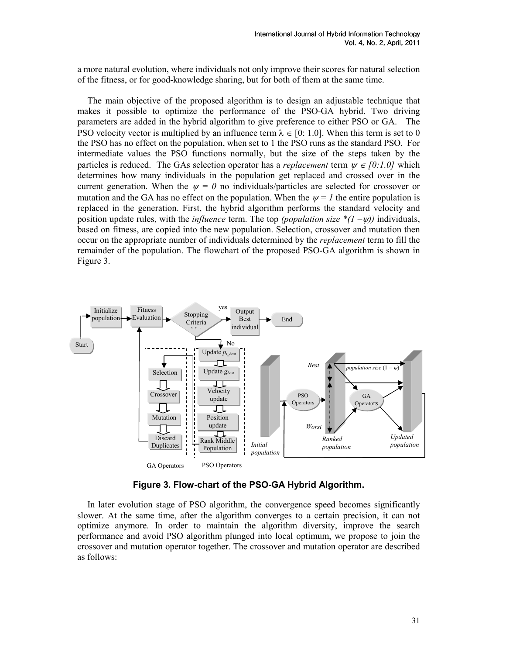a more natural evolution, where individuals not only improve their scores for natural selection of the fitness, or for good-knowledge sharing, but for both of them at the same time.

The main objective of the proposed algorithm is to design an adjustable technique that makes it possible to optimize the performance of the PSO-GA hybrid. Two driving parameters are added in the hybrid algorithm to give preference to either PSO or GA. The PSO velocity vector is multiplied by an influence term  $\lambda \in [0: 1.0]$ . When this term is set to 0 the PSO has no effect on the population, when set to 1 the PSO runs as the standard PSO. For intermediate values the PSO functions normally, but the size of the steps taken by the particles is reduced. The GAs selection operator has a *replacement* term  $\psi \in [0,1.0]$  which determines how many individuals in the population get replaced and crossed over in the current generation. When the  $\psi = 0$  no individuals/particles are selected for crossover or mutation and the GA has no effect on the population. When the  $\psi = I$  the entire population is replaced in the generation. First, the hybrid algorithm performs the standard velocity and position update rules, with the *influence* term. The top *(population size*  $*(1 - \psi)$ ) individuals, based on fitness, are copied into the new population. Selection, crossover and mutation then occur on the appropriate number of individuals determined by the *replacement* term to fill the remainder of the population. The flowchart of the proposed PSO-GA algorithm is shown in Figure 3.



Figure 3. Flow-chart of the PSO-GA Hybrid Algorithm.

In later evolution stage of PSO algorithm, the convergence speed becomes significantly slower. At the same time, after the algorithm converges to a certain precision, it can not optimize anymore. In order to maintain the algorithm diversity, improve the search performance and avoid PSO algorithm plunged into local optimum, we propose to join the crossover and mutation operator together. The crossover and mutation operator are described as follows: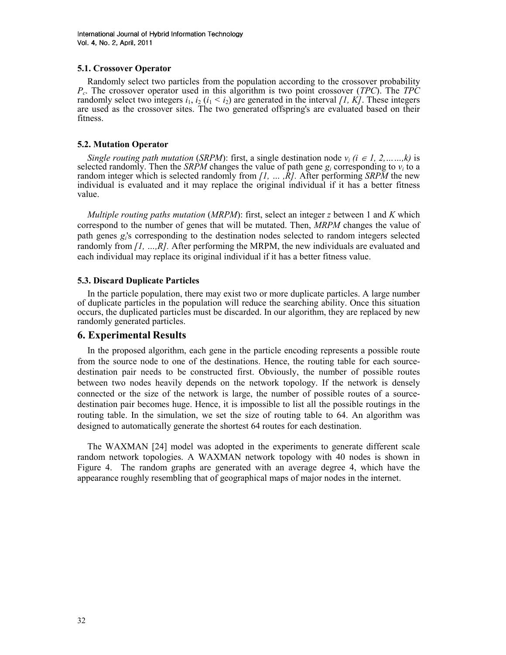### 5.1. Crossover Operator

Randomly select two particles from the population according to the crossover probability  $P_c$ . The crossover operator used in this algorithm is two point crossover (*TPC*). The *TPC* randomly select two integers  $i_1$ ,  $i_2$  ( $i_1 < i_2$ ) are generated in the interval [1, K]. These integers are used as the crossover sites. The two generated offspring's are evaluated based on their fitness.

### 5.2. Mutation Operator

Single routing path mutation (SRPM): first, a single destination node  $v_i$  ( $i \in I, 2, ..., k$ ) is selected randomly. Then the *SRPM* changes the value of path gene  $g_i$  corresponding to  $v_i$  to a random integer which is selected randomly from  $\overline{I}$ , ...,  $\overline{R}$ . After performing SRPM the new individual is evaluated and it may replace the original individual if it has a better fitness value.

Multiple routing paths mutation (MRPM): first, select an integer z between 1 and K which correspond to the number of genes that will be mutated. Then, MRPM changes the value of path genes  $g_i$ 's corresponding to the destination nodes selected to random integers selected randomly from  $[1, ..., R]$ . After performing the MRPM, the new individuals are evaluated and each individual may replace its original individual if it has a better fitness value.

### 5.3. Discard Duplicate Particles

In the particle population, there may exist two or more duplicate particles. A large number of duplicate particles in the population will reduce the searching ability. Once this situation occurs, the duplicated particles must be discarded. In our algorithm, they are replaced by new randomly generated particles.

# 6. Experimental Results

In the proposed algorithm, each gene in the particle encoding represents a possible route from the source node to one of the destinations. Hence, the routing table for each sourcedestination pair needs to be constructed first. Obviously, the number of possible routes between two nodes heavily depends on the network topology. If the network is densely connected or the size of the network is large, the number of possible routes of a sourcedestination pair becomes huge. Hence, it is impossible to list all the possible routings in the routing table. In the simulation, we set the size of routing table to 64. An algorithm was designed to automatically generate the shortest 64 routes for each destination.

The WAXMAN [24] model was adopted in the experiments to generate different scale random network topologies. A WAXMAN network topology with 40 nodes is shown in Figure 4. The random graphs are generated with an average degree 4, which have the appearance roughly resembling that of geographical maps of major nodes in the internet.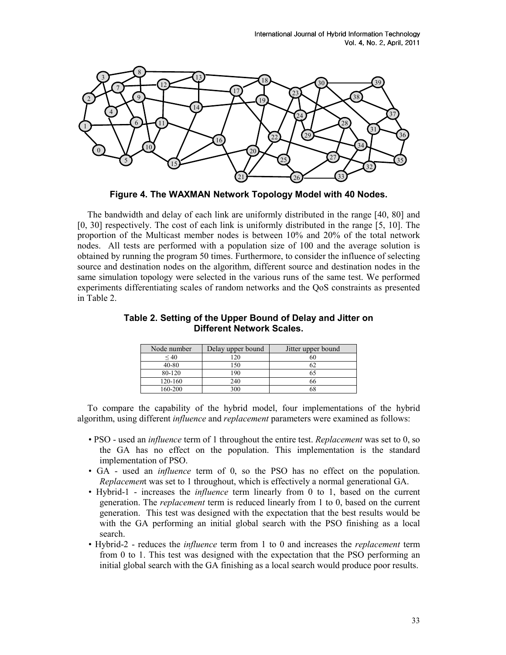

Figure 4. The WAXMAN Network Topology Model with 40 Nodes.

The bandwidth and delay of each link are uniformly distributed in the range [40, 80] and [0, 30] respectively. The cost of each link is uniformly distributed in the range [5, 10]. The proportion of the Multicast member nodes is between 10% and 20% of the total network nodes. All tests are performed with a population size of 100 and the average solution is obtained by running the program 50 times. Furthermore, to consider the influence of selecting source and destination nodes on the algorithm, different source and destination nodes in the same simulation topology were selected in the various runs of the same test. We performed experiments differentiating scales of random networks and the QoS constraints as presented in Table 2.

| Table 2. Setting of the Upper Bound of Delay and Jitter on |
|------------------------------------------------------------|
| <b>Different Network Scales.</b>                           |
|                                                            |

| Node number    | Delay upper bound | Jitter upper bound |
|----------------|-------------------|--------------------|
| ${}_{\leq 40}$ |                   | 60                 |
| $40 - 80$      | -50               |                    |
| 80-120         | -90               |                    |
| $120 - 160$    | 240               | 66                 |
| 160-200        | 300               |                    |

To compare the capability of the hybrid model, four implementations of the hybrid algorithm, using different *influence* and *replacement* parameters were examined as follows:

- PSO used an *influence* term of 1 throughout the entire test. *Replacement* was set to 0, so the GA has no effect on the population. This implementation is the standard implementation of PSO.
- GA used an influence term of 0, so the PSO has no effect on the population. Replacement was set to 1 throughout, which is effectively a normal generational GA.
- Hybrid-1 increases the influence term linearly from 0 to 1, based on the current generation. The replacement term is reduced linearly from 1 to 0, based on the current generation. This test was designed with the expectation that the best results would be with the GA performing an initial global search with the PSO finishing as a local search.
- Hybrid-2 reduces the *influence* term from 1 to 0 and increases the *replacement* term from 0 to 1. This test was designed with the expectation that the PSO performing an initial global search with the GA finishing as a local search would produce poor results.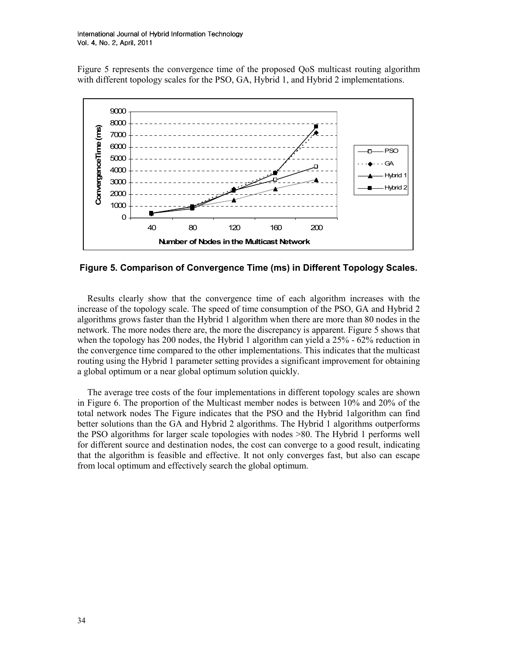Figure 5 represents the convergence time of the proposed QoS multicast routing algorithm with different topology scales for the PSO, GA, Hybrid 1, and Hybrid 2 implementations.



Figure 5. Comparison of Convergence Time (ms) in Different Topology Scales.

Results clearly show that the convergence time of each algorithm increases with the increase of the topology scale. The speed of time consumption of the PSO, GA and Hybrid 2 algorithms grows faster than the Hybrid 1 algorithm when there are more than 80 nodes in the network. The more nodes there are, the more the discrepancy is apparent. Figure 5 shows that when the topology has 200 nodes, the Hybrid 1 algorithm can yield a 25% - 62% reduction in the convergence time compared to the other implementations. This indicates that the multicast routing using the Hybrid 1 parameter setting provides a significant improvement for obtaining a global optimum or a near global optimum solution quickly.

The average tree costs of the four implementations in different topology scales are shown in Figure 6. The proportion of the Multicast member nodes is between 10% and 20% of the total network nodes The Figure indicates that the PSO and the Hybrid 1algorithm can find better solutions than the GA and Hybrid 2 algorithms. The Hybrid 1 algorithms outperforms the PSO algorithms for larger scale topologies with nodes >80. The Hybrid 1 performs well for different source and destination nodes, the cost can converge to a good result, indicating that the algorithm is feasible and effective. It not only converges fast, but also can escape from local optimum and effectively search the global optimum.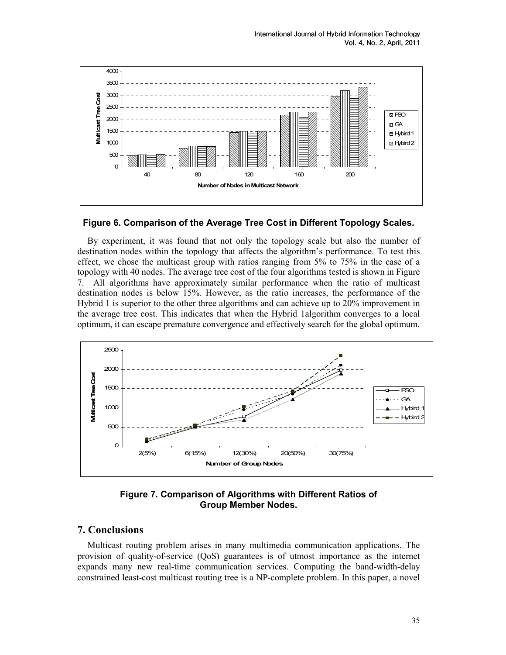

Figure 6. Comparison of the Average Tree Cost in Different Topology Scales.

By experiment, it was found that not only the topology scale but also the number of destination nodes within the topology that affects the algorithm's performance. To test this effect, we chose the multicast group with ratios ranging from 5% to 75% in the case of a topology with 40 nodes. The average tree cost of the four algorithms tested is shown in Figure 7. All algorithms have approximately similar performance when the ratio of multicast destination nodes is below 15%. However, as the ratio increases, the performance of the Hybrid 1 is superior to the other three algorithms and can achieve up to 20% improvement in the average tree cost. This indicates that when the Hybrid 1algorithm converges to a local optimum, it can escape premature convergence and effectively search for the global optimum.



Figure 7. Comparison of Algorithms with Different Ratios of Group Member Nodes.

# 7. Conclusions

Multicast routing problem arises in many multimedia communication applications. The provision of quality-of-service (QoS) guarantees is of utmost importance as the internet expands many new real-time communication services. Computing the band-width-delay constrained least-cost multicast routing tree is a NP-complete problem. In this paper, a novel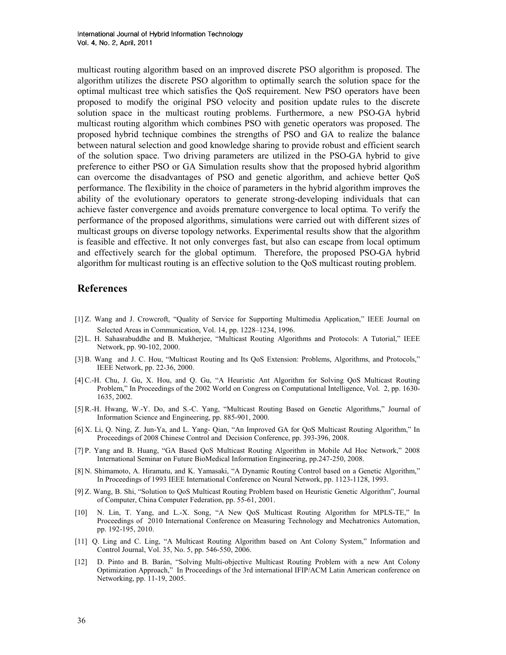multicast routing algorithm based on an improved discrete PSO algorithm is proposed. The algorithm utilizes the discrete PSO algorithm to optimally search the solution space for the optimal multicast tree which satisfies the QoS requirement. New PSO operators have been proposed to modify the original PSO velocity and position update rules to the discrete solution space in the multicast routing problems. Furthermore, a new PSO-GA hybrid multicast routing algorithm which combines PSO with genetic operators was proposed. The proposed hybrid technique combines the strengths of PSO and GA to realize the balance between natural selection and good knowledge sharing to provide robust and efficient search of the solution space. Two driving parameters are utilized in the PSO-GA hybrid to give preference to either PSO or GA Simulation results show that the proposed hybrid algorithm can overcome the disadvantages of PSO and genetic algorithm, and achieve better QoS performance. The flexibility in the choice of parameters in the hybrid algorithm improves the ability of the evolutionary operators to generate strong-developing individuals that can achieve faster convergence and avoids premature convergence to local optima. To verify the performance of the proposed algorithms, simulations were carried out with different sizes of multicast groups on diverse topology networks. Experimental results show that the algorithm is feasible and effective. It not only converges fast, but also can escape from local optimum and effectively search for the global optimum. Therefore, the proposed PSO-GA hybrid algorithm for multicast routing is an effective solution to the QoS multicast routing problem.

# References

- [1] Z. Wang and J. Crowcroft, "Quality of Service for Supporting Multimedia Application," IEEE Journal on Selected Areas in Communication, Vol. 14, pp. 1228–1234, 1996.
- [2] L. H. Sahasrabuddhe and B. Mukherjee, "Multicast Routing Algorithms and Protocols: A Tutorial," IEEE Network, pp. 90-102, 2000.
- [3] B. Wang and J. C. Hou, "Multicast Routing and Its QoS Extension: Problems, Algorithms, and Protocols," IEEE Network, pp. 22-36, 2000.
- [4] C.-H. Chu, J. Gu, X. Hou, and Q. Gu, "A Heuristic Ant Algorithm for Solving QoS Multicast Routing Problem," In Proceedings of the 2002 World on Congress on Computational Intelligence, Vol. 2, pp. 1630- 1635, 2002.
- [5] R.-H. Hwang, W.-Y. Do, and S.-C. Yang, "Multicast Routing Based on Genetic Algorithms," Journal of Information Science and Engineering, pp. 885-901, 2000.
- [6] X. Li, Q. Ning, Z. Jun-Ya, and L. Yang- Qian, "An Improved GA for QoS Multicast Routing Algorithm," In Proceedings of 2008 Chinese Control and Decision Conference, pp. 393-396, 2008.
- [7] P. Yang and B. Huang, "GA Based QoS Multicast Routing Algorithm in Mobile Ad Hoc Network," 2008 International Seminar on Future BioMedical Information Engineering, pp.247-250, 2008.
- [8] N. Shimamoto, A. Hiramatu, and K. Yamasaki, "A Dynamic Routing Control based on a Genetic Algorithm," In Proceedings of 1993 IEEE International Conference on Neural Network, pp. 1123-1128, 1993.
- [9] Z. Wang, B. Shi, "Solution to QoS Multicast Routing Problem based on Heuristic Genetic Algorithm", Journal of Computer, China Computer Federation, pp. 55-61, 2001.
- [10] N. Lin, T. Yang, and L.-X. Song, "A New QoS Multicast Routing Algorithm for MPLS-TE," In Proceedings of 2010 International Conference on Measuring Technology and Mechatronics Automation, pp. 192-195, 2010.
- [11] Q. Ling and C. Ling, "A Multicast Routing Algorithm based on Ant Colony System," Information and Control Journal, Vol. 35, No. 5, pp. 546-550, 2006.
- [12] D. Pinto and B. Barán, "Solving Multi-objective Multicast Routing Problem with a new Ant Colony Optimization Approach," In Proceedings of the 3rd international IFIP/ACM Latin American conference on Networking, pp. 11-19, 2005.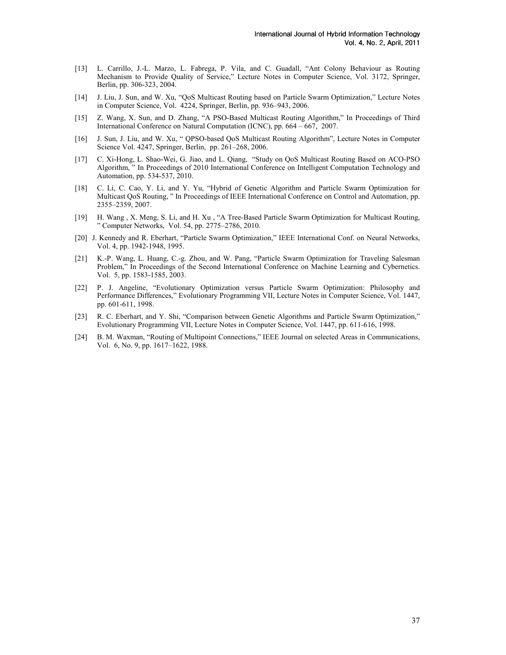- [13] L. Carrillo, J.-L. Marzo, L. Fabrega, P. Vila, and C. Guadall, "Ant Colony Behaviour as Routing Mechanism to Provide Quality of Service," Lecture Notes in Computer Science, Vol. 3172, Springer, Berlin, pp. 306-323, 2004.
- [14] J. Liu, J. Sun, and W. Xu, "QoS Multicast Routing based on Particle Swarm Optimization," Lecture Notes in Computer Science, Vol. 4224, Springer, Berlin, pp. 936–943, 2006.
- [15] Z. Wang, X. Sun, and D. Zhang, "A PSO-Based Multicast Routing Algorithm," In Proceedings of Third International Conference on Natural Computation (ICNC), pp. 664 – 667, 2007.
- [16] J. Sun, J. Liu, and W. Xu, " QPSO-based QoS Multicast Routing Algorithm", Lecture Notes in Computer Science Vol. 4247, Springer, Berlin, pp. 261–268, 2006.
- [17] C. Xi-Hong, L. Shao-Wei, G. Jiao, and L. Qiang, "Study on QoS Multicast Routing Based on ACO-PSO Algorithm, " In Proceedings of 2010 International Conference on Intelligent Computation Technology and Automation, pp. 534-537, 2010.
- [18] C. Li, C. Cao, Y. Li, and Y. Yu, "Hybrid of Genetic Algorithm and Particle Swarm Optimization for Multicast QoS Routing, " In Proceedings of IEEE International Conference on Control and Automation, pp. 2355–2359, 2007.
- [19] H. Wang , X. Meng, S. Li, and H. Xu , "A Tree-Based Particle Swarm Optimization for Multicast Routing, " Computer Networks, Vol. 54, pp. 2775–2786, 2010.
- [20] J. Kennedy and R. Eberhart, "Particle Swarm Optimization," IEEE International Conf. on Neural Networks, Vol. 4, pp. 1942-1948, 1995.
- [21] K.-P. Wang, L. Huang, C.-g. Zhou, and W. Pang, "Particle Swarm Optimization for Traveling Salesman Problem," In Proceedings of the Second International Conference on Machine Learning and Cybernetics. Vol. 5, pp. 1583-1585, 2003.
- [22] P. J. Angeline, "Evolutionary Optimization versus Particle Swarm Optimization: Philosophy and Performance Differences," Evolutionary Programming VII, Lecture Notes in Computer Science, Vol. 1447, pp. 601-611, 1998.
- [23] R. C. Eberhart, and Y. Shi, "Comparison between Genetic Algorithms and Particle Swarm Optimization," Evolutionary Programming VII, Lecture Notes in Computer Science, Vol. 1447, pp. 611-616, 1998.
- [24] B. M. Waxman, "Routing of Multipoint Connections," IEEE Journal on selected Areas in Communications, Vol. 6, No. 9, pp. 1617–1622, 1988.